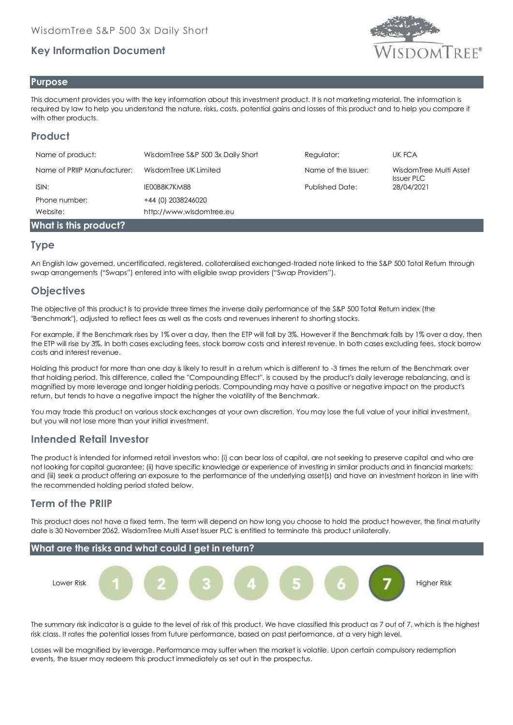# **Key Information Document**



#### **Purpose**

This document provides you with the key information about this investment product. It is not marketing material. The information is required by law to help you understand the nature, risks, costs, potential gains and losses of this product and to help you compare it with other products.

# **Product**

| Name of product:            | WisdomTree S&P 500 3x Daily Short | Regulator:             | UK FCA                                      |
|-----------------------------|-----------------------------------|------------------------|---------------------------------------------|
| Name of PRIIP Manufacturer: | WisdomTree UK Limited             | Name of the Issuer:    | WisdomTree Multi Asset<br><b>Issuer PLC</b> |
| ISIN:                       | IE00B8K7KM88                      | <b>Published Date:</b> | 28/04/2021                                  |
| Phone number:               | +44 (0) 2038246020                |                        |                                             |
| Website:                    | http://www.wisdomtree.eu          |                        |                                             |
| What is this product?       |                                   |                        |                                             |

### **Type**

An English law governed, uncertificated, registered, collateralised exchanged-traded note linked to the S&P 500 Total Return through swap arrangements ("Swaps") entered into with eligible swap providers ("Swap Providers").

# **Objectives**

The objective of this product is to provide three times the inverse daily performance of the S&P 500 Total Return index (the "Benchmark"), adjusted to reflect fees as well as the costs and revenues inherent to shorting stocks.

For example, if the Benchmark rises by 1% over a day, then the ETP will fall by 3%. However if the Benchmark falls by 1% over a day, then the ETP will rise by 3%. In both cases excluding fees, stock borrow costs and interest revenue. In both cases excluding fees, stock borrow costs and interest revenue.

Holding this product for more than one day is likely to result in a return which is different to -3 times the return of the Benchmark over that holding period. This difference, called the ''Compounding Effect'', is caused by the product's daily leverage rebalancing, and is magnified by more leverage and longer holding periods. Compounding may have a positive or negative impact on the product's return, but tends to have a negative impact the higher the volatility of the Benchmark.

You may trade this product on various stock exchanges at your own discretion. You may lose the full value of your initial investment, but you will not lose more than your initial investment.

### **Intended Retail Investor**

The product is intended for informed retail investors who: (i) can bear loss of capital, are not seeking to preserve capital and who are not looking for capital guarantee; (ii) have specific knowledge or experience of investing in similar products and in financial markets; and (iii) seek a product offering an exposure to the performance of the underlying asset(s) and have an investment horizon in line with the recommended holding period stated below.

### **Term of the PRIIP**

This product does not have a fixed term. The term will depend on how long you choose to hold the product however, the final maturity date is 30 November 2062. WisdomTree Multi Asset Issuer PLC is entitled to terminate this product unilaterally.



The summary risk indicator is a guide to the level of risk of this product. We have classified this product as 7 out of 7, which is the highest risk class. It rates the potential losses from future performance, based on past performance, at a very high level.

Losses will be magnified by leverage. Performance may suffer when the market is volatile. Upon certain compulsory redemption events, the Issuer may redeem this product immediately as set out in the prospectus.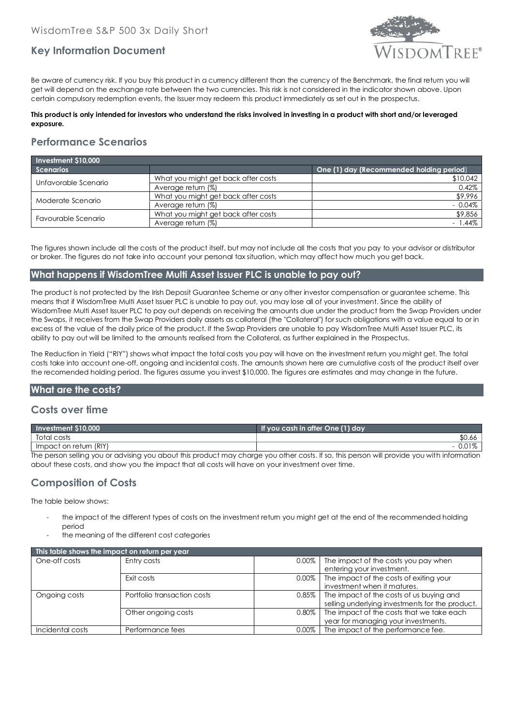

## **Key Information Document**

Be aware of currency risk. If you buy this product in a currency different than the currency of the Benchmark, the final return you will get will depend on the exchange rate between the two currencies. This risk is not considered in the indicator shown above. Upon certain compulsory redemption events, the Issuer may redeem this product immediately as set out in the prospectus.

#### **This product is only intended for investors who understand the risks involved in investing in a product with short and/or leveraged exposure.**

## **Performance Scenarios**

| Investment \$10,000  |                                     |                                          |
|----------------------|-------------------------------------|------------------------------------------|
| <b>Scenarios</b>     |                                     | One (1) day (Recommended holding period) |
| Unfavorable Scenario | What you might get back after costs | \$10,042                                 |
|                      | Average return (%)                  | 0.42%                                    |
| Moderate Scenario    | What you might get back after costs | \$9,996                                  |
|                      | Average return (%)                  | $-0.04\%$                                |
| Favourable Scenario  | What you might get back after costs | \$9,856                                  |
|                      | Average return (%)                  | $-1.44\%$                                |

The figures shown include all the costs of the product itself, but may not include all the costs that you pay to your advisor or distributor or broker. The figures do not take into account your personal tax situation, which may affect how much you get back.

#### **What happens if WisdomTree Multi Asset Issuer PLC is unable to pay out?**

The product is not protected by the Irish Deposit Guarantee Scheme or any other investor compensation or guarantee scheme. This means that if WisdomTree Multi Asset Issuer PLC is unable to pay out, you may lose all of your investment. Since the ability of WisdomTree Multi Asset Issuer PLC to pay out depends on receiving the amounts due under the product from the Swap Providers under the Swaps, it receives from the Swap Providers daily assets as collateral (the "Collateral") for such obligations with a value equal to or in excess of the value of the daily price of the product. If the Swap Providers are unable to pay WisdomTree Multi Asset Issuer PLC, its ability to pay out will be limited to the amounts realised from the Collateral, as further explained in the Prospectus.

The Reduction in Yield ("RIY") shows what impact the total costs you pay will have on the investment return you might get. The total costs take into account one-off, ongoing and incidental costs. The amounts shown here are cumulative costs of the product itself over the recomended holding period. The figures assume you invest \$10,000. The figures are estimates and may change in the future.

#### **What are the costs?**

#### **Costs over time**

| Investment \$10,000                                                                                                                        | If you cash in after One (1) day |  |  |
|--------------------------------------------------------------------------------------------------------------------------------------------|----------------------------------|--|--|
| Total costs                                                                                                                                | \$0.66                           |  |  |
| Impact on return (RIY)                                                                                                                     |                                  |  |  |
| The person selling you or advising you about this product may charge you ather cests. If so, this person will provide you with information |                                  |  |  |

The person selling you or advising you about this product may charge you other costs. If so, this person will provide you with information about these costs, and show you the impact that all costs will have on your investment over time.

### **Composition of Costs**

The table below shows:

- the impact of the different types of costs on the investment return you might get at the end of the recommended holding period
- the meaning of the different cost categories

| This table shows the impact on return per year |                             |          |                                                                                             |  |
|------------------------------------------------|-----------------------------|----------|---------------------------------------------------------------------------------------------|--|
| One-off costs                                  | Entry costs                 | 0.00%    | The impact of the costs you pay when<br>entering your investment.                           |  |
|                                                | Exit costs                  | $0.00\%$ | The impact of the costs of exiting your<br>investment when it matures.                      |  |
| Ongoing costs                                  | Portfolio transaction costs | $0.85\%$ | The impact of the costs of us buying and<br>selling underlying investments for the product. |  |
|                                                | Other ongoing costs         | 0.80%    | The impact of the costs that we take each<br>year for managing your investments.            |  |
| Incidental costs                               | Performance fees            | $0.00\%$ | The impact of the performance fee.                                                          |  |